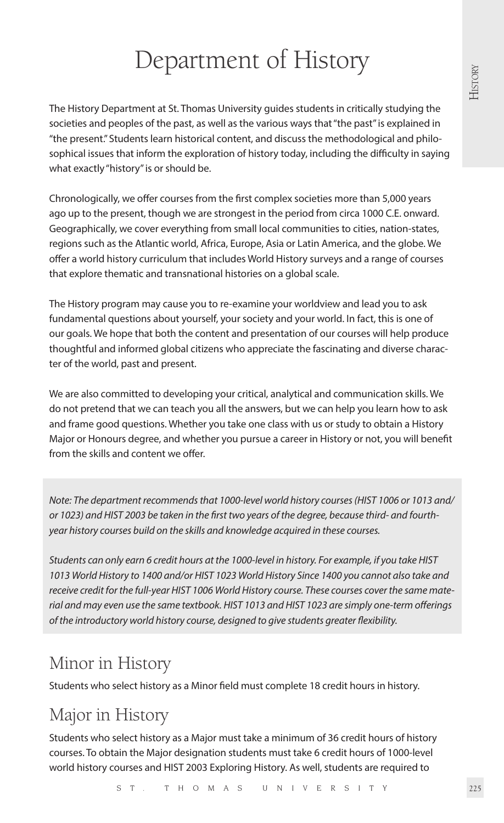# Department of History

The History Department at St. Thomas University guides students in critically studying the societies and peoples of the past, as well as the various ways that "the past" is explained in "the present." Students learn historical content, and discuss the methodological and philosophical issues that inform the exploration of history today, including the difficulty in saying what exactly "history" is or should be.

Chronologically, we offer courses from the first complex societies more than 5,000 years ago up to the present, though we are strongest in the period from circa 1000 C.E. onward. Geographically, we cover everything from small local communities to cities, nation-states, regions such as the Atlantic world, Africa, Europe, Asia or Latin America, and the globe. We offer a world history curriculum that includes World History surveys and a range of courses that explore thematic and transnational histories on a global scale.

The History program may cause you to re-examine your worldview and lead you to ask fundamental questions about yourself, your society and your world. In fact, this is one of our goals. We hope that both the content and presentation of our courses will help produce thoughtful and informed global citizens who appreciate the fascinating and diverse character of the world, past and present.

We are also committed to developing your critical, analytical and communication skills. We do not pretend that we can teach you all the answers, but we can help you learn how to ask and frame good questions. Whether you take one class with us or study to obtain a History Major or Honours degree, and whether you pursue a career in History or not, you will benefit from the skills and content we offer.

*Note: The department recommends that 1000-level world history courses (HIST 1006 or 1013 and/ or 1023) and HIST 2003 be taken in the first two years of the degree, because third- and fourthyear history courses build on the skills and knowledge acquired in these courses.* 

*Students can only earn 6 credit hours at the 1000-level in history. For example, if you take HIST 1013 World History to 1400 and/or HIST 1023 World History Since 1400 you cannot also take and receive credit for the full-year HIST 1006 World History course. These courses cover the same material and may even use the same textbook. HIST 1013 and HIST 1023 are simply one-term offerings of the introductory world history course, designed to give students greater flexibility.* 

# Minor in History

Students who select history as a Minor field must complete 18 credit hours in history.

# Major in History

Students who select history as a Major must take a minimum of 36 credit hours of history courses. To obtain the Major designation students must take 6 credit hours of 1000-level world history courses and HIST 2003 Exploring History. As well, students are required to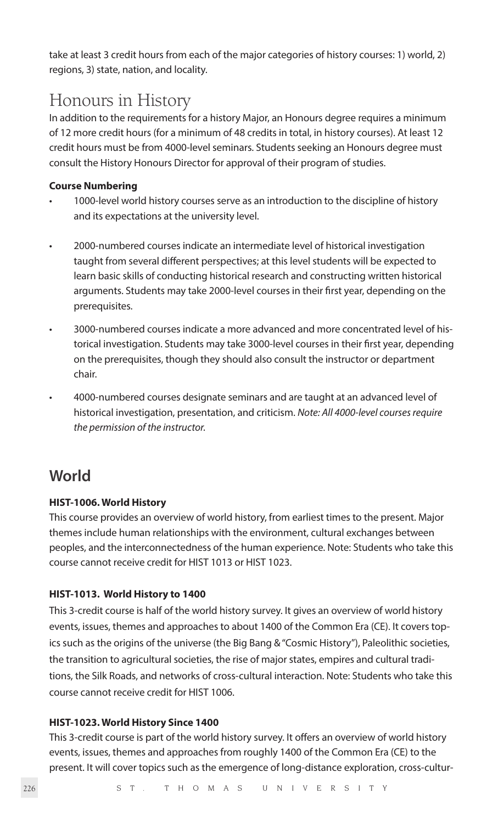take at least 3 credit hours from each of the major categories of history courses: 1) world, 2) regions, 3) state, nation, and locality.

## Honours in History

In addition to the requirements for a history Major, an Honours degree requires a minimum of 12 more credit hours (for a minimum of 48 credits in total, in history courses). At least 12 credit hours must be from 4000-level seminars. Students seeking an Honours degree must consult the History Honours Director for approval of their program of studies.

#### **Course Numbering**

- 1000-level world history courses serve as an introduction to the discipline of history and its expectations at the university level.
- 2000-numbered courses indicate an intermediate level of historical investigation taught from several different perspectives; at this level students will be expected to learn basic skills of conducting historical research and constructing written historical arguments. Students may take 2000-level courses in their first year, depending on the prerequisites.
- 3000-numbered courses indicate a more advanced and more concentrated level of historical investigation. Students may take 3000-level courses in their first year, depending on the prerequisites, though they should also consult the instructor or department chair.
- 4000-numbered courses designate seminars and are taught at an advanced level of historical investigation, presentation, and criticism. *Note: All 4000-level courses require the permission of the instructor.*

## **World**

#### **HIST-1006. World History**

This course provides an overview of world history, from earliest times to the present. Major themes include human relationships with the environment, cultural exchanges between peoples, and the interconnectedness of the human experience. Note: Students who take this course cannot receive credit for HIST 1013 or HIST 1023.

#### **HIST-1013. World History to 1400**

This 3-credit course is half of the world history survey. It gives an overview of world history events, issues, themes and approaches to about 1400 of the Common Era (CE). It covers topics such as the origins of the universe (the Big Bang & "Cosmic History"), Paleolithic societies, the transition to agricultural societies, the rise of major states, empires and cultural traditions, the Silk Roads, and networks of cross-cultural interaction. Note: Students who take this course cannot receive credit for HIST 1006.

#### **HIST-1023. World History Since 1400**

This 3-credit course is part of the world history survey. It offers an overview of world history events, issues, themes and approaches from roughly 1400 of the Common Era (CE) to the present. It will cover topics such as the emergence of long-distance exploration, cross-cultur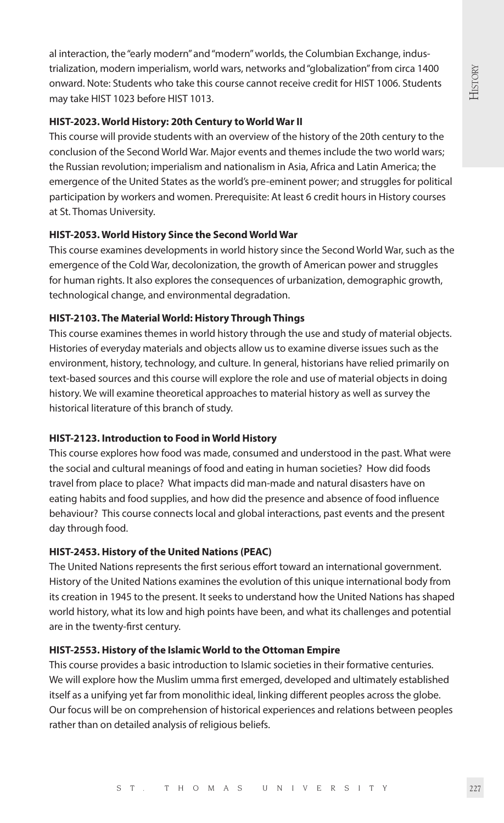al interaction, the "early modern" and "modern" worlds, the Columbian Exchange, industrialization, modern imperialism, world wars, networks and "globalization" from circa 1400 onward. Note: Students who take this course cannot receive credit for HIST 1006. Students may take HIST 1023 before HIST 1013.

#### **HIST-2023. World History: 20th Century to World War II**

This course will provide students with an overview of the history of the 20th century to the conclusion of the Second World War. Major events and themes include the two world wars; the Russian revolution; imperialism and nationalism in Asia, Africa and Latin America; the emergence of the United States as the world's pre-eminent power; and struggles for political participation by workers and women. Prerequisite: At least 6 credit hours in History courses at St. Thomas University.

#### **HIST-2053. World History Since the Second World War**

This course examines developments in world history since the Second World War, such as the emergence of the Cold War, decolonization, the growth of American power and struggles for human rights. It also explores the consequences of urbanization, demographic growth, technological change, and environmental degradation.

#### **HIST-2103. The Material World: History Through Things**

This course examines themes in world history through the use and study of material objects. Histories of everyday materials and objects allow us to examine diverse issues such as the environment, history, technology, and culture. In general, historians have relied primarily on text-based sources and this course will explore the role and use of material objects in doing history. We will examine theoretical approaches to material history as well as survey the historical literature of this branch of study.

#### **HIST-2123. Introduction to Food in World History**

This course explores how food was made, consumed and understood in the past. What were the social and cultural meanings of food and eating in human societies? How did foods travel from place to place? What impacts did man-made and natural disasters have on eating habits and food supplies, and how did the presence and absence of food influence behaviour? This course connects local and global interactions, past events and the present day through food.

#### **HIST-2453. History of the United Nations (PEAC)**

The United Nations represents the first serious effort toward an international government. History of the United Nations examines the evolution of this unique international body from its creation in 1945 to the present. It seeks to understand how the United Nations has shaped world history, what its low and high points have been, and what its challenges and potential are in the twenty-first century.

#### **HIST-2553. History of the Islamic World to the Ottoman Empire**

This course provides a basic introduction to Islamic societies in their formative centuries. We will explore how the Muslim umma first emerged, developed and ultimately established itself as a unifying yet far from monolithic ideal, linking different peoples across the globe. Our focus will be on comprehension of historical experiences and relations between peoples rather than on detailed analysis of religious beliefs.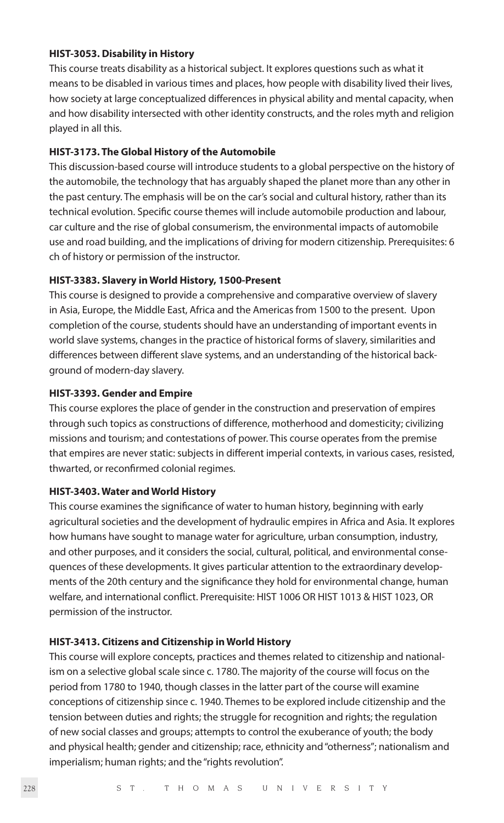#### **HIST-3053. Disability in History**

This course treats disability as a historical subject. It explores questions such as what it means to be disabled in various times and places, how people with disability lived their lives, how society at large conceptualized differences in physical ability and mental capacity, when and how disability intersected with other identity constructs, and the roles myth and religion played in all this.

#### **HIST-3173. The Global History of the Automobile**

This discussion-based course will introduce students to a global perspective on the history of the automobile, the technology that has arguably shaped the planet more than any other in the past century. The emphasis will be on the car's social and cultural history, rather than its technical evolution. Specific course themes will include automobile production and labour, car culture and the rise of global consumerism, the environmental impacts of automobile use and road building, and the implications of driving for modern citizenship. Prerequisites: 6 ch of history or permission of the instructor.

#### **HIST-3383. Slavery in World History, 1500-Present**

This course is designed to provide a comprehensive and comparative overview of slavery in Asia, Europe, the Middle East, Africa and the Americas from 1500 to the present. Upon completion of the course, students should have an understanding of important events in world slave systems, changes in the practice of historical forms of slavery, similarities and differences between different slave systems, and an understanding of the historical background of modern-day slavery.

#### **HIST-3393. Gender and Empire**

This course explores the place of gender in the construction and preservation of empires through such topics as constructions of difference, motherhood and domesticity; civilizing missions and tourism; and contestations of power. This course operates from the premise that empires are never static: subjects in different imperial contexts, in various cases, resisted, thwarted, or reconfirmed colonial regimes.

#### **HIST-3403. Water and World History**

This course examines the significance of water to human history, beginning with early agricultural societies and the development of hydraulic empires in Africa and Asia. It explores how humans have sought to manage water for agriculture, urban consumption, industry, and other purposes, and it considers the social, cultural, political, and environmental consequences of these developments. It gives particular attention to the extraordinary developments of the 20th century and the significance they hold for environmental change, human welfare, and international conflict. Prerequisite: HIST 1006 OR HIST 1013 & HIST 1023, OR permission of the instructor.

#### **HIST-3413. Citizens and Citizenship in World History**

This course will explore concepts, practices and themes related to citizenship and nationalism on a selective global scale since c. 1780. The majority of the course will focus on the period from 1780 to 1940, though classes in the latter part of the course will examine conceptions of citizenship since c. 1940. Themes to be explored include citizenship and the tension between duties and rights; the struggle for recognition and rights; the regulation of new social classes and groups; attempts to control the exuberance of youth; the body and physical health; gender and citizenship; race, ethnicity and "otherness"; nationalism and imperialism; human rights; and the "rights revolution".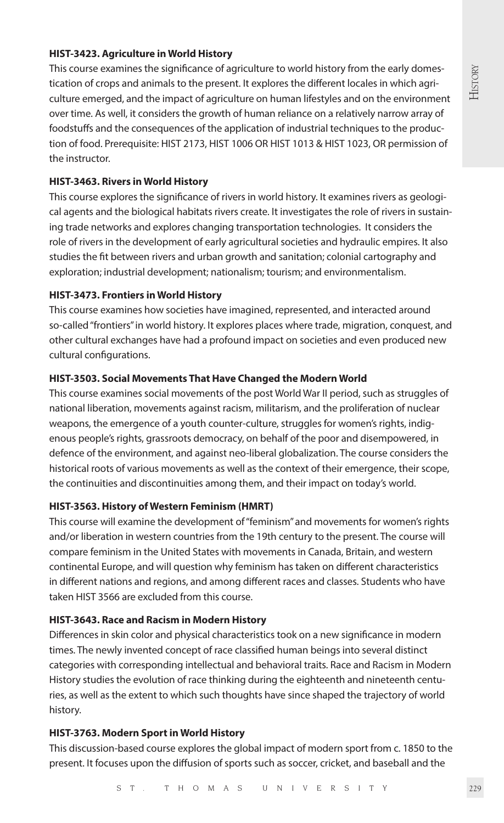# History

### **HIST-3423. Agriculture in World History**

This course examines the significance of agriculture to world history from the early domestication of crops and animals to the present. It explores the different locales in which agriculture emerged, and the impact of agriculture on human lifestyles and on the environment over time. As well, it considers the growth of human reliance on a relatively narrow array of foodstuffs and the consequences of the application of industrial techniques to the production of food. Prerequisite: HIST 2173, HIST 1006 OR HIST 1013 & HIST 1023, OR permission of the instructor.

#### **HIST-3463. Rivers in World History**

This course explores the significance of rivers in world history. It examines rivers as geological agents and the biological habitats rivers create. It investigates the role of rivers in sustaining trade networks and explores changing transportation technologies. It considers the role of rivers in the development of early agricultural societies and hydraulic empires. It also studies the fit between rivers and urban growth and sanitation; colonial cartography and exploration; industrial development; nationalism; tourism; and environmentalism.

#### **HIST-3473. Frontiers in World History**

This course examines how societies have imagined, represented, and interacted around so-called "frontiers" in world history. It explores places where trade, migration, conquest, and other cultural exchanges have had a profound impact on societies and even produced new cultural configurations.

#### **HIST-3503. Social Movements That Have Changed the Modern World**

This course examines social movements of the post World War II period, such as struggles of national liberation, movements against racism, militarism, and the proliferation of nuclear weapons, the emergence of a youth counter-culture, struggles for women's rights, indigenous people's rights, grassroots democracy, on behalf of the poor and disempowered, in defence of the environment, and against neo-liberal globalization. The course considers the historical roots of various movements as well as the context of their emergence, their scope, the continuities and discontinuities among them, and their impact on today's world.

#### **HIST-3563. History of Western Feminism (HMRT)**

This course will examine the development of "feminism" and movements for women's rights and/or liberation in western countries from the 19th century to the present. The course will compare feminism in the United States with movements in Canada, Britain, and western continental Europe, and will question why feminism has taken on different characteristics in different nations and regions, and among different races and classes. Students who have taken HIST 3566 are excluded from this course.

#### **HIST-3643. Race and Racism in Modern History**

Differences in skin color and physical characteristics took on a new significance in modern times. The newly invented concept of race classified human beings into several distinct categories with corresponding intellectual and behavioral traits. Race and Racism in Modern History studies the evolution of race thinking during the eighteenth and nineteenth centuries, as well as the extent to which such thoughts have since shaped the trajectory of world history.

#### **HIST-3763. Modern Sport in World History**

This discussion-based course explores the global impact of modern sport from c. 1850 to the present. It focuses upon the diffusion of sports such as soccer, cricket, and baseball and the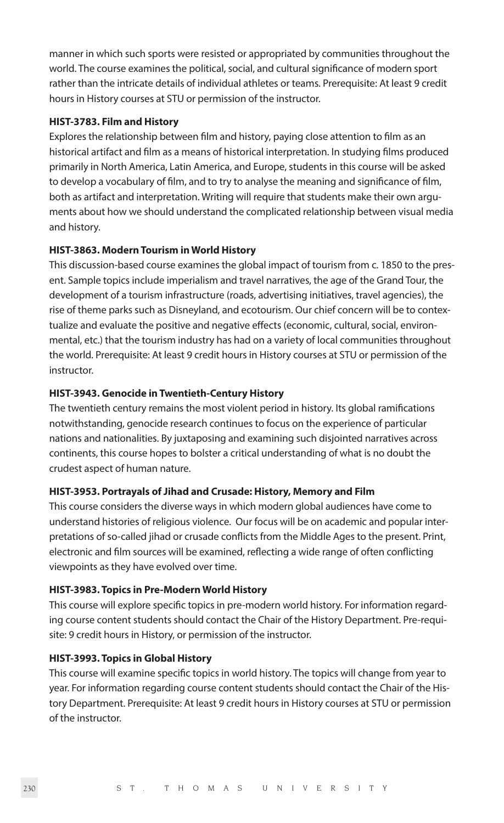manner in which such sports were resisted or appropriated by communities throughout the world. The course examines the political, social, and cultural significance of modern sport rather than the intricate details of individual athletes or teams. Prerequisite: At least 9 credit hours in History courses at STU or permission of the instructor.

#### **HIST-3783. Film and History**

Explores the relationship between film and history, paying close attention to film as an historical artifact and film as a means of historical interpretation. In studying films produced primarily in North America, Latin America, and Europe, students in this course will be asked to develop a vocabulary of film, and to try to analyse the meaning and significance of film, both as artifact and interpretation. Writing will require that students make their own arguments about how we should understand the complicated relationship between visual media and history.

#### **HIST-3863. Modern Tourism in World History**

This discussion-based course examines the global impact of tourism from c. 1850 to the present. Sample topics include imperialism and travel narratives, the age of the Grand Tour, the development of a tourism infrastructure (roads, advertising initiatives, travel agencies), the rise of theme parks such as Disneyland, and ecotourism. Our chief concern will be to contextualize and evaluate the positive and negative effects (economic, cultural, social, environmental, etc.) that the tourism industry has had on a variety of local communities throughout the world. Prerequisite: At least 9 credit hours in History courses at STU or permission of the instructor.

#### **HIST-3943. Genocide in Twentieth-Century History**

The twentieth century remains the most violent period in history. Its global ramifications notwithstanding, genocide research continues to focus on the experience of particular nations and nationalities. By juxtaposing and examining such disjointed narratives across continents, this course hopes to bolster a critical understanding of what is no doubt the crudest aspect of human nature.

#### **HIST-3953. Portrayals of Jihad and Crusade: History, Memory and Film**

This course considers the diverse ways in which modern global audiences have come to understand histories of religious violence. Our focus will be on academic and popular interpretations of so-called jihad or crusade conflicts from the Middle Ages to the present. Print, electronic and film sources will be examined, reflecting a wide range of often conflicting viewpoints as they have evolved over time.

#### **HIST-3983. Topics in Pre-Modern World History**

This course will explore specific topics in pre-modern world history. For information regarding course content students should contact the Chair of the History Department. Pre-requisite: 9 credit hours in History, or permission of the instructor.

#### **HIST-3993. Topics in Global History**

This course will examine specific topics in world history. The topics will change from year to year. For information regarding course content students should contact the Chair of the History Department. Prerequisite: At least 9 credit hours in History courses at STU or permission of the instructor.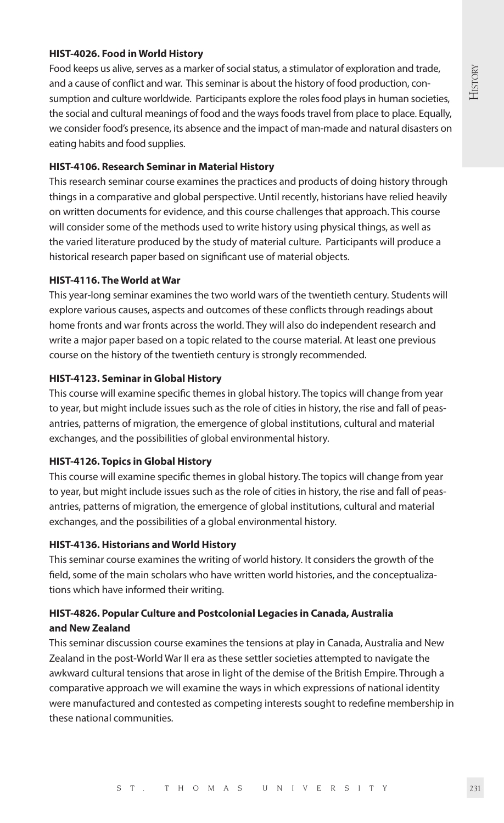# **HISTORY**

#### **HIST-4026. Food in World History**

Food keeps us alive, serves as a marker of social status, a stimulator of exploration and trade, and a cause of conflict and war. This seminar is about the history of food production, consumption and culture worldwide. Participants explore the roles food plays in human societies, the social and cultural meanings of food and the ways foods travel from place to place. Equally, we consider food's presence, its absence and the impact of man-made and natural disasters on eating habits and food supplies.

#### **HIST-4106. Research Seminar in Material History**

This research seminar course examines the practices and products of doing history through things in a comparative and global perspective. Until recently, historians have relied heavily on written documents for evidence, and this course challenges that approach. This course will consider some of the methods used to write history using physical things, as well as the varied literature produced by the study of material culture. Participants will produce a historical research paper based on significant use of material objects.

#### **HIST-4116. The World at War**

This year-long seminar examines the two world wars of the twentieth century. Students will explore various causes, aspects and outcomes of these conflicts through readings about home fronts and war fronts across the world. They will also do independent research and write a major paper based on a topic related to the course material. At least one previous course on the history of the twentieth century is strongly recommended.

#### **HIST-4123. Seminar in Global History**

This course will examine specific themes in global history. The topics will change from year to year, but might include issues such as the role of cities in history, the rise and fall of peasantries, patterns of migration, the emergence of global institutions, cultural and material exchanges, and the possibilities of global environmental history.

#### **HIST-4126. Topics in Global History**

This course will examine specific themes in global history. The topics will change from year to year, but might include issues such as the role of cities in history, the rise and fall of peasantries, patterns of migration, the emergence of global institutions, cultural and material exchanges, and the possibilities of a global environmental history.

#### **HIST-4136. Historians and World History**

This seminar course examines the writing of world history. It considers the growth of the field, some of the main scholars who have written world histories, and the conceptualizations which have informed their writing.

#### **HIST-4826. Popular Culture and Postcolonial Legacies in Canada, Australia and New Zealand**

This seminar discussion course examines the tensions at play in Canada, Australia and New Zealand in the post-World War II era as these settler societies attempted to navigate the awkward cultural tensions that arose in light of the demise of the British Empire. Through a comparative approach we will examine the ways in which expressions of national identity were manufactured and contested as competing interests sought to redefine membership in these national communities.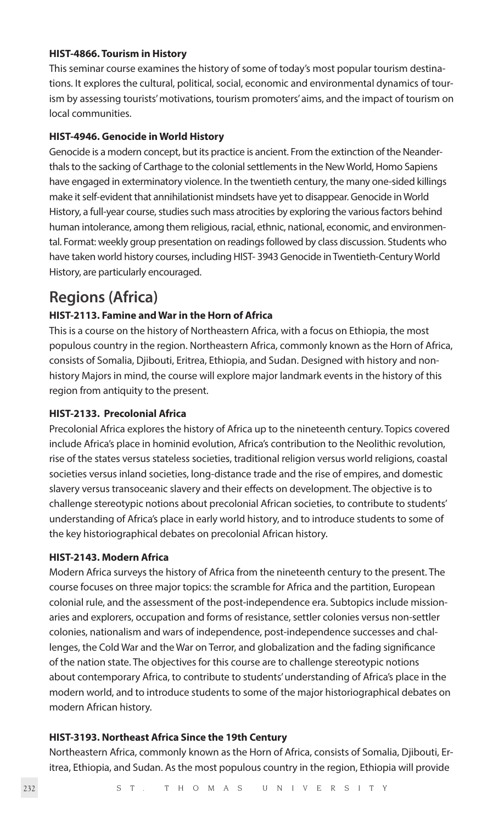#### **HIST-4866. Tourism in History**

This seminar course examines the history of some of today's most popular tourism destinations. It explores the cultural, political, social, economic and environmental dynamics of tourism by assessing tourists' motivations, tourism promoters' aims, and the impact of tourism on local communities.

#### **HIST-4946. Genocide in World History**

Genocide is a modern concept, but its practice is ancient. From the extinction of the Neanderthals to the sacking of Carthage to the colonial settlements in the New World, Homo Sapiens have engaged in exterminatory violence. In the twentieth century, the many one-sided killings make it self-evident that annihilationist mindsets have yet to disappear. Genocide in World History, a full-year course, studies such mass atrocities by exploring the various factors behind human intolerance, among them religious, racial, ethnic, national, economic, and environmental. Format: weekly group presentation on readings followed by class discussion. Students who have taken world history courses, including HIST- 3943 Genocide in Twentieth-Century World History, are particularly encouraged.

### **Regions (Africa)**

#### **HIST-2113. Famine and War in the Horn of Africa**

This is a course on the history of Northeastern Africa, with a focus on Ethiopia, the most populous country in the region. Northeastern Africa, commonly known as the Horn of Africa, consists of Somalia, Djibouti, Eritrea, Ethiopia, and Sudan. Designed with history and nonhistory Majors in mind, the course will explore major landmark events in the history of this region from antiquity to the present.

#### **HIST-2133. Precolonial Africa**

Precolonial Africa explores the history of Africa up to the nineteenth century. Topics covered include Africa's place in hominid evolution, Africa's contribution to the Neolithic revolution, rise of the states versus stateless societies, traditional religion versus world religions, coastal societies versus inland societies, long-distance trade and the rise of empires, and domestic slavery versus transoceanic slavery and their effects on development. The objective is to challenge stereotypic notions about precolonial African societies, to contribute to students' understanding of Africa's place in early world history, and to introduce students to some of the key historiographical debates on precolonial African history.

#### **HIST-2143. Modern Africa**

Modern Africa surveys the history of Africa from the nineteenth century to the present. The course focuses on three major topics: the scramble for Africa and the partition, European colonial rule, and the assessment of the post-independence era. Subtopics include missionaries and explorers, occupation and forms of resistance, settler colonies versus non-settler colonies, nationalism and wars of independence, post-independence successes and challenges, the Cold War and the War on Terror, and globalization and the fading significance of the nation state. The objectives for this course are to challenge stereotypic notions about contemporary Africa, to contribute to students' understanding of Africa's place in the modern world, and to introduce students to some of the major historiographical debates on modern African history.

#### **HIST-3193. Northeast Africa Since the 19th Century**

Northeastern Africa, commonly known as the Horn of Africa, consists of Somalia, Djibouti, Eritrea, Ethiopia, and Sudan. As the most populous country in the region, Ethiopia will provide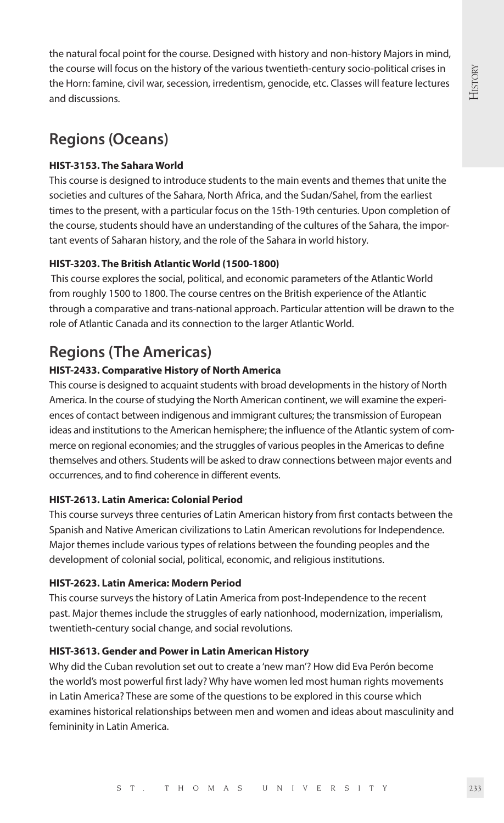the natural focal point for the course. Designed with history and non-history Majors in mind, the course will focus on the history of the various twentieth-century socio-political crises in the Horn: famine, civil war, secession, irredentism, genocide, etc. Classes will feature lectures and discussions.

## **Regions (Oceans)**

#### **HIST-3153. The Sahara World**

This course is designed to introduce students to the main events and themes that unite the societies and cultures of the Sahara, North Africa, and the Sudan/Sahel, from the earliest times to the present, with a particular focus on the 15th-19th centuries. Upon completion of the course, students should have an understanding of the cultures of the Sahara, the important events of Saharan history, and the role of the Sahara in world history.

#### **HIST-3203. The British Atlantic World (1500-1800)**

 This course explores the social, political, and economic parameters of the Atlantic World from roughly 1500 to 1800. The course centres on the British experience of the Atlantic through a comparative and trans-national approach. Particular attention will be drawn to the role of Atlantic Canada and its connection to the larger Atlantic World.

## **Regions (The Americas)**

#### **HIST-2433. Comparative History of North America**

This course is designed to acquaint students with broad developments in the history of North America. In the course of studying the North American continent, we will examine the experiences of contact between indigenous and immigrant cultures; the transmission of European ideas and institutions to the American hemisphere; the influence of the Atlantic system of commerce on regional economies; and the struggles of various peoples in the Americas to define themselves and others. Students will be asked to draw connections between major events and occurrences, and to find coherence in different events.

#### **HIST-2613. Latin America: Colonial Period**

This course surveys three centuries of Latin American history from first contacts between the Spanish and Native American civilizations to Latin American revolutions for Independence. Major themes include various types of relations between the founding peoples and the development of colonial social, political, economic, and religious institutions.

#### **HIST-2623. Latin America: Modern Period**

This course surveys the history of Latin America from post-Independence to the recent past. Major themes include the struggles of early nationhood, modernization, imperialism, twentieth-century social change, and social revolutions.

#### **HIST-3613. Gender and Power in Latin American History**

Why did the Cuban revolution set out to create a 'new man'? How did Eva Perón become the world's most powerful first lady? Why have women led most human rights movements in Latin America? These are some of the questions to be explored in this course which examines historical relationships between men and women and ideas about masculinity and femininity in Latin America.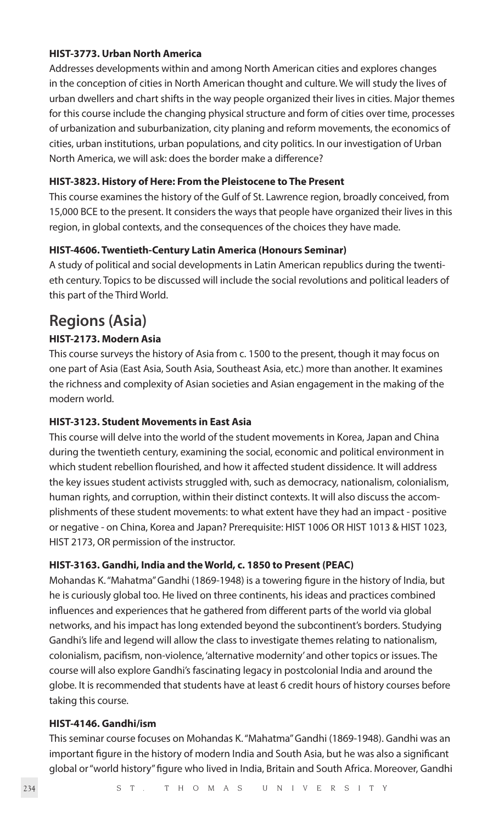#### **HIST-3773. Urban North America**

Addresses developments within and among North American cities and explores changes in the conception of cities in North American thought and culture. We will study the lives of urban dwellers and chart shifts in the way people organized their lives in cities. Major themes for this course include the changing physical structure and form of cities over time, processes of urbanization and suburbanization, city planing and reform movements, the economics of cities, urban institutions, urban populations, and city politics. In our investigation of Urban North America, we will ask: does the border make a difference?

#### **HIST-3823. History of Here: From the Pleistocene to The Present**

This course examines the history of the Gulf of St. Lawrence region, broadly conceived, from 15,000 BCE to the present. It considers the ways that people have organized their lives in this region, in global contexts, and the consequences of the choices they have made.

#### **HIST-4606. Twentieth-Century Latin America (Honours Seminar)**

A study of political and social developments in Latin American republics during the twentieth century. Topics to be discussed will include the social revolutions and political leaders of this part of the Third World.

### **Regions (Asia)**

#### **HIST-2173. Modern Asia**

This course surveys the history of Asia from c. 1500 to the present, though it may focus on one part of Asia (East Asia, South Asia, Southeast Asia, etc.) more than another. It examines the richness and complexity of Asian societies and Asian engagement in the making of the modern world.

#### **HIST-3123. Student Movements in East Asia**

This course will delve into the world of the student movements in Korea, Japan and China during the twentieth century, examining the social, economic and political environment in which student rebellion flourished, and how it affected student dissidence. It will address the key issues student activists struggled with, such as democracy, nationalism, colonialism, human rights, and corruption, within their distinct contexts. It will also discuss the accomplishments of these student movements: to what extent have they had an impact - positive or negative - on China, Korea and Japan? Prerequisite: HIST 1006 OR HIST 1013 & HIST 1023, HIST 2173, OR permission of the instructor.

#### **HIST-3163. Gandhi, India and the World, c. 1850 to Present (PEAC)**

Mohandas K. "Mahatma" Gandhi (1869-1948) is a towering figure in the history of India, but he is curiously global too. He lived on three continents, his ideas and practices combined influences and experiences that he gathered from different parts of the world via global networks, and his impact has long extended beyond the subcontinent's borders. Studying Gandhi's life and legend will allow the class to investigate themes relating to nationalism, colonialism, pacifism, non-violence, 'alternative modernity' and other topics or issues. The course will also explore Gandhi's fascinating legacy in postcolonial India and around the globe. It is recommended that students have at least 6 credit hours of history courses before taking this course.

#### **HIST-4146. Gandhi/ism**

This seminar course focuses on Mohandas K. "Mahatma" Gandhi (1869-1948). Gandhi was an important figure in the history of modern India and South Asia, but he was also a significant global or "world history" figure who lived in India, Britain and South Africa. Moreover, Gandhi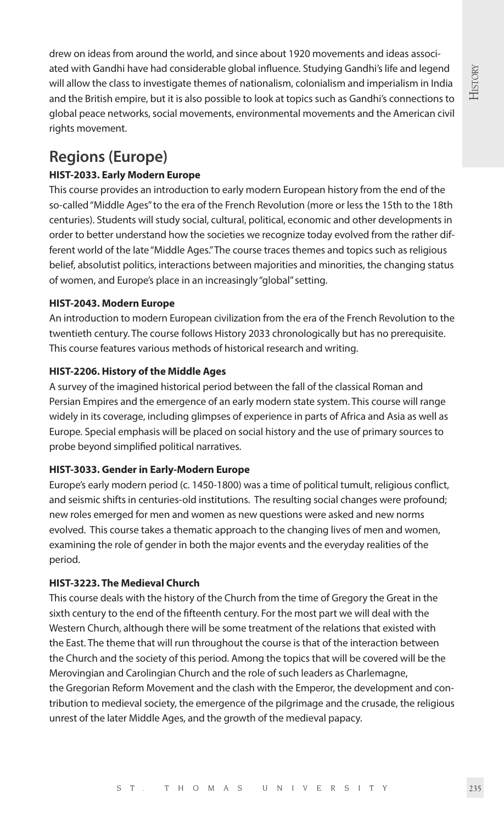drew on ideas from around the world, and since about 1920 movements and ideas associated with Gandhi have had considerable global influence. Studying Gandhi's life and legend will allow the class to investigate themes of nationalism, colonialism and imperialism in India and the British empire, but it is also possible to look at topics such as Gandhi's connections to global peace networks, social movements, environmental movements and the American civil rights movement.

## **Regions (Europe)**

#### **HIST-2033. Early Modern Europe**

This course provides an introduction to early modern European history from the end of the so-called "Middle Ages" to the era of the French Revolution (more or less the 15th to the 18th centuries). Students will study social, cultural, political, economic and other developments in order to better understand how the societies we recognize today evolved from the rather different world of the late "Middle Ages." The course traces themes and topics such as religious belief, absolutist politics, interactions between majorities and minorities, the changing status of women, and Europe's place in an increasingly "global" setting.

#### **HIST-2043. Modern Europe**

An introduction to modern European civilization from the era of the French Revolution to the twentieth century. The course follows History 2033 chronologically but has no prerequisite. This course features various methods of historical research and writing.

#### **HIST-2206. History of the Middle Ages**

A survey of the imagined historical period between the fall of the classical Roman and Persian Empires and the emergence of an early modern state system. This course will range widely in its coverage, including glimpses of experience in parts of Africa and Asia as well as Europe. Special emphasis will be placed on social history and the use of primary sources to probe beyond simplified political narratives.

#### **HIST-3033. Gender in Early-Modern Europe**

Europe's early modern period (c. 1450-1800) was a time of political tumult, religious conflict, and seismic shifts in centuries-old institutions. The resulting social changes were profound; new roles emerged for men and women as new questions were asked and new norms evolved. This course takes a thematic approach to the changing lives of men and women, examining the role of gender in both the major events and the everyday realities of the period.

#### **HIST-3223. The Medieval Church**

This course deals with the history of the Church from the time of Gregory the Great in the sixth century to the end of the fifteenth century. For the most part we will deal with the Western Church, although there will be some treatment of the relations that existed with the East. The theme that will run throughout the course is that of the interaction between the Church and the society of this period. Among the topics that will be covered will be the Merovingian and Carolingian Church and the role of such leaders as Charlemagne, the Gregorian Reform Movement and the clash with the Emperor, the development and contribution to medieval society, the emergence of the pilgrimage and the crusade, the religious unrest of the later Middle Ages, and the growth of the medieval papacy.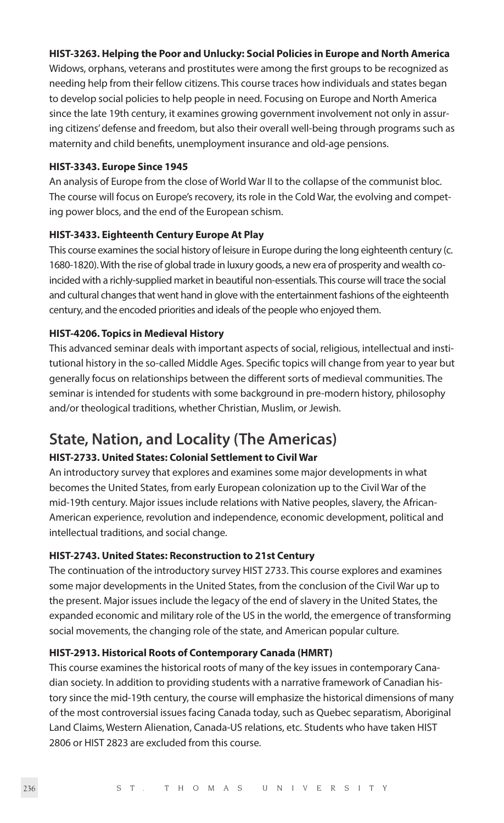#### **HIST-3263. Helping the Poor and Unlucky: Social Policies in Europe and North America**

Widows, orphans, veterans and prostitutes were among the first groups to be recognized as needing help from their fellow citizens. This course traces how individuals and states began to develop social policies to help people in need. Focusing on Europe and North America since the late 19th century, it examines growing government involvement not only in assuring citizens' defense and freedom, but also their overall well-being through programs such as maternity and child benefits, unemployment insurance and old-age pensions.

#### **HIST-3343. Europe Since 1945**

An analysis of Europe from the close of World War II to the collapse of the communist bloc. The course will focus on Europe's recovery, its role in the Cold War, the evolving and competing power blocs, and the end of the European schism.

#### **HIST-3433. Eighteenth Century Europe At Play**

This course examines the social history of leisure in Europe during the long eighteenth century (c. 1680-1820). With the rise of global trade in luxury goods, a new era of prosperity and wealth coincided with a richly-supplied market in beautiful non-essentials. This course will trace the social and cultural changes that went hand in glove with the entertainment fashions of the eighteenth century, and the encoded priorities and ideals of the people who enjoyed them.

#### **HIST-4206. Topics in Medieval History**

This advanced seminar deals with important aspects of social, religious, intellectual and institutional history in the so-called Middle Ages. Specific topics will change from year to year but generally focus on relationships between the different sorts of medieval communities. The seminar is intended for students with some background in pre-modern history, philosophy and/or theological traditions, whether Christian, Muslim, or Jewish.

## **State, Nation, and Locality (The Americas)**

#### **HIST-2733. United States: Colonial Settlement to Civil War**

An introductory survey that explores and examines some major developments in what becomes the United States, from early European colonization up to the Civil War of the mid-19th century. Major issues include relations with Native peoples, slavery, the African-American experience, revolution and independence, economic development, political and intellectual traditions, and social change.

#### **HIST-2743. United States: Reconstruction to 21st Century**

The continuation of the introductory survey HIST 2733. This course explores and examines some major developments in the United States, from the conclusion of the Civil War up to the present. Major issues include the legacy of the end of slavery in the United States, the expanded economic and military role of the US in the world, the emergence of transforming social movements, the changing role of the state, and American popular culture.

#### **HIST-2913. Historical Roots of Contemporary Canada (HMRT)**

This course examines the historical roots of many of the key issues in contemporary Canadian society. In addition to providing students with a narrative framework of Canadian history since the mid-19th century, the course will emphasize the historical dimensions of many of the most controversial issues facing Canada today, such as Quebec separatism, Aboriginal Land Claims, Western Alienation, Canada-US relations, etc. Students who have taken HIST 2806 or HIST 2823 are excluded from this course.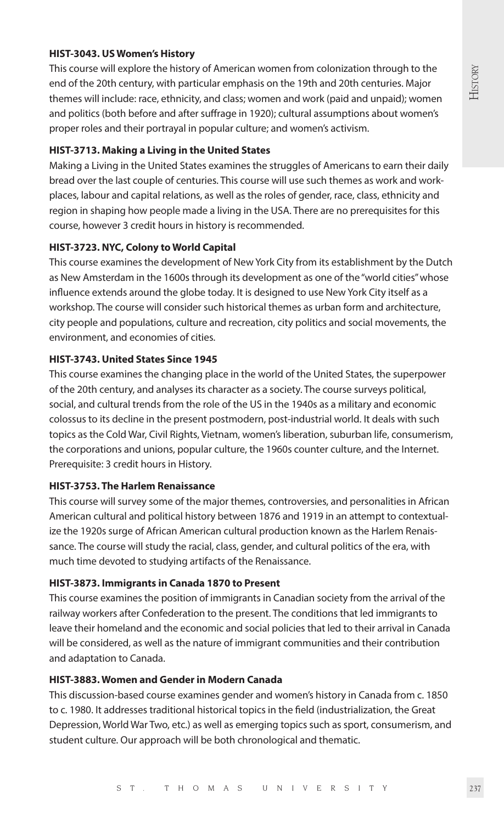#### **HIST-3043. US Women's History**

This course will explore the history of American women from colonization through to the end of the 20th century, with particular emphasis on the 19th and 20th centuries. Major themes will include: race, ethnicity, and class; women and work (paid and unpaid); women and politics (both before and after suffrage in 1920); cultural assumptions about women's proper roles and their portrayal in popular culture; and women's activism.

#### **HIST-3713. Making a Living in the United States**

Making a Living in the United States examines the struggles of Americans to earn their daily bread over the last couple of centuries. This course will use such themes as work and workplaces, labour and capital relations, as well as the roles of gender, race, class, ethnicity and region in shaping how people made a living in the USA. There are no prerequisites for this course, however 3 credit hours in history is recommended.

#### **HIST-3723. NYC, Colony to World Capital**

This course examines the development of New York City from its establishment by the Dutch as New Amsterdam in the 1600s through its development as one of the "world cities" whose influence extends around the globe today. It is designed to use New York City itself as a workshop. The course will consider such historical themes as urban form and architecture, city people and populations, culture and recreation, city politics and social movements, the environment, and economies of cities.

#### **HIST-3743. United States Since 1945**

This course examines the changing place in the world of the United States, the superpower of the 20th century, and analyses its character as a society. The course surveys political, social, and cultural trends from the role of the US in the 1940s as a military and economic colossus to its decline in the present postmodern, post-industrial world. It deals with such topics as the Cold War, Civil Rights, Vietnam, women's liberation, suburban life, consumerism, the corporations and unions, popular culture, the 1960s counter culture, and the Internet. Prerequisite: 3 credit hours in History.

#### **HIST-3753. The Harlem Renaissance**

This course will survey some of the major themes, controversies, and personalities in African American cultural and political history between 1876 and 1919 in an attempt to contextualize the 1920s surge of African American cultural production known as the Harlem Renaissance. The course will study the racial, class, gender, and cultural politics of the era, with much time devoted to studying artifacts of the Renaissance.

#### **HIST-3873. Immigrants in Canada 1870 to Present**

This course examines the position of immigrants in Canadian society from the arrival of the railway workers after Confederation to the present. The conditions that led immigrants to leave their homeland and the economic and social policies that led to their arrival in Canada will be considered, as well as the nature of immigrant communities and their contribution and adaptation to Canada.

#### **HIST-3883. Women and Gender in Modern Canada**

This discussion-based course examines gender and women's history in Canada from c. 1850 to c. 1980. It addresses traditional historical topics in the field (industrialization, the Great Depression, World War Two, etc.) as well as emerging topics such as sport, consumerism, and student culture. Our approach will be both chronological and thematic.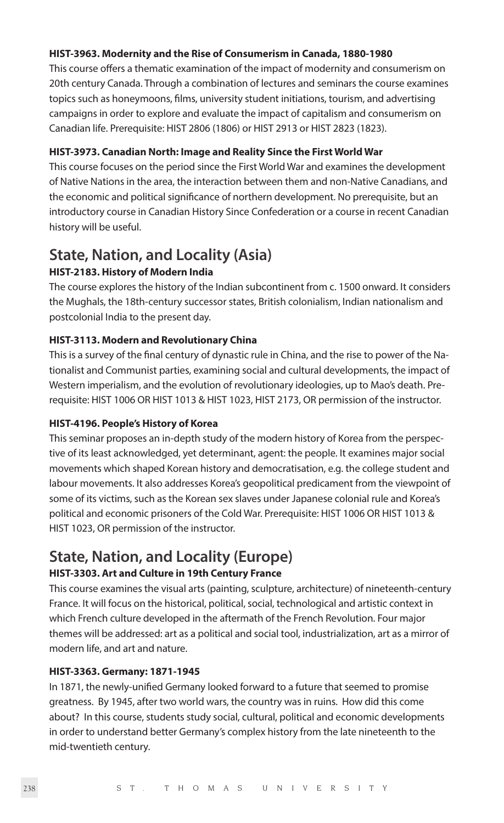#### **HIST-3963. Modernity and the Rise of Consumerism in Canada, 1880-1980**

This course offers a thematic examination of the impact of modernity and consumerism on 20th century Canada. Through a combination of lectures and seminars the course examines topics such as honeymoons, films, university student initiations, tourism, and advertising campaigns in order to explore and evaluate the impact of capitalism and consumerism on Canadian life. Prerequisite: HIST 2806 (1806) or HIST 2913 or HIST 2823 (1823).

#### **HIST-3973. Canadian North: Image and Reality Since the First World War**

This course focuses on the period since the First World War and examines the development of Native Nations in the area, the interaction between them and non-Native Canadians, and the economic and political significance of northern development. No prerequisite, but an introductory course in Canadian History Since Confederation or a course in recent Canadian history will be useful.

## **State, Nation, and Locality (Asia)**

#### **HIST-2183. History of Modern India**

The course explores the history of the Indian subcontinent from c. 1500 onward. It considers the Mughals, the 18th-century successor states, British colonialism, Indian nationalism and postcolonial India to the present day.

#### **HIST-3113. Modern and Revolutionary China**

This is a survey of the final century of dynastic rule in China, and the rise to power of the Nationalist and Communist parties, examining social and cultural developments, the impact of Western imperialism, and the evolution of revolutionary ideologies, up to Mao's death. Prerequisite: HIST 1006 OR HIST 1013 & HIST 1023, HIST 2173, OR permission of the instructor.

#### **HIST-4196. People's History of Korea**

This seminar proposes an in-depth study of the modern history of Korea from the perspective of its least acknowledged, yet determinant, agent: the people. It examines major social movements which shaped Korean history and democratisation, e.g. the college student and labour movements. It also addresses Korea's geopolitical predicament from the viewpoint of some of its victims, such as the Korean sex slaves under Japanese colonial rule and Korea's political and economic prisoners of the Cold War. Prerequisite: HIST 1006 OR HIST 1013 & HIST 1023, OR permission of the instructor.

## **State, Nation, and Locality (Europe)**

#### **HIST-3303. Art and Culture in 19th Century France**

This course examines the visual arts (painting, sculpture, architecture) of nineteenth-century France. It will focus on the historical, political, social, technological and artistic context in which French culture developed in the aftermath of the French Revolution. Four major themes will be addressed: art as a political and social tool, industrialization, art as a mirror of modern life, and art and nature.

#### **HIST-3363. Germany: 1871-1945**

In 1871, the newly-unified Germany looked forward to a future that seemed to promise greatness. By 1945, after two world wars, the country was in ruins. How did this come about? In this course, students study social, cultural, political and economic developments in order to understand better Germany's complex history from the late nineteenth to the mid-twentieth century.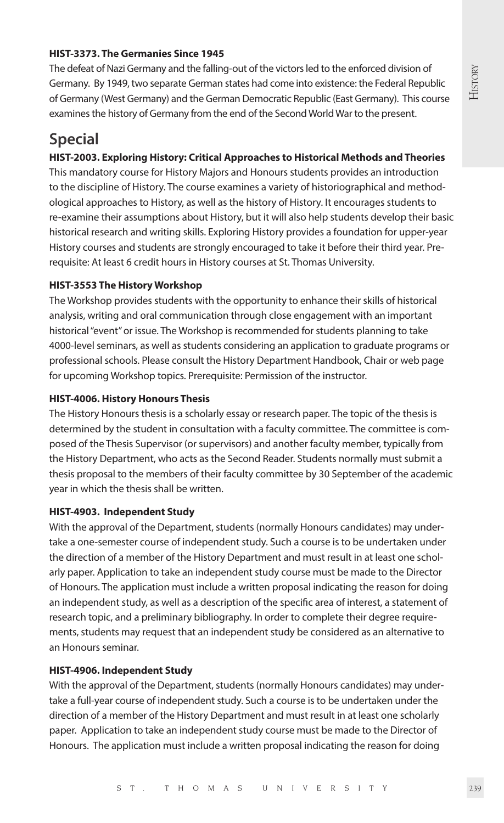#### **HIST-3373. The Germanies Since 1945**

The defeat of Nazi Germany and the falling-out of the victors led to the enforced division of Germany. By 1949, two separate German states had come into existence: the Federal Republic of Germany (West Germany) and the German Democratic Republic (East Germany). This course examines the history of Germany from the end of the Second World War to the present.

## **Special**

#### **HIST-2003. Exploring History: Critical Approaches to Historical Methods and Theories**

This mandatory course for History Majors and Honours students provides an introduction to the discipline of History. The course examines a variety of historiographical and methodological approaches to History, as well as the history of History. It encourages students to re-examine their assumptions about History, but it will also help students develop their basic historical research and writing skills. Exploring History provides a foundation for upper-year History courses and students are strongly encouraged to take it before their third year. Prerequisite: At least 6 credit hours in History courses at St. Thomas University.

#### **HIST-3553 The History Workshop**

The Workshop provides students with the opportunity to enhance their skills of historical analysis, writing and oral communication through close engagement with an important historical "event" or issue. The Workshop is recommended for students planning to take 4000-level seminars, as well as students considering an application to graduate programs or professional schools. Please consult the History Department Handbook, Chair or web page for upcoming Workshop topics. Prerequisite: Permission of the instructor.

#### **HIST-4006. History Honours Thesis**

The History Honours thesis is a scholarly essay or research paper. The topic of the thesis is determined by the student in consultation with a faculty committee. The committee is composed of the Thesis Supervisor (or supervisors) and another faculty member, typically from the History Department, who acts as the Second Reader. Students normally must submit a thesis proposal to the members of their faculty committee by 30 September of the academic year in which the thesis shall be written.

#### **HIST-4903. Independent Study**

With the approval of the Department, students (normally Honours candidates) may undertake a one-semester course of independent study. Such a course is to be undertaken under the direction of a member of the History Department and must result in at least one scholarly paper. Application to take an independent study course must be made to the Director of Honours. The application must include a written proposal indicating the reason for doing an independent study, as well as a description of the specific area of interest, a statement of research topic, and a preliminary bibliography. In order to complete their degree requirements, students may request that an independent study be considered as an alternative to an Honours seminar.

#### **HIST-4906. Independent Study**

With the approval of the Department, students (normally Honours candidates) may undertake a full-year course of independent study. Such a course is to be undertaken under the direction of a member of the History Department and must result in at least one scholarly paper. Application to take an independent study course must be made to the Director of Honours. The application must include a written proposal indicating the reason for doing